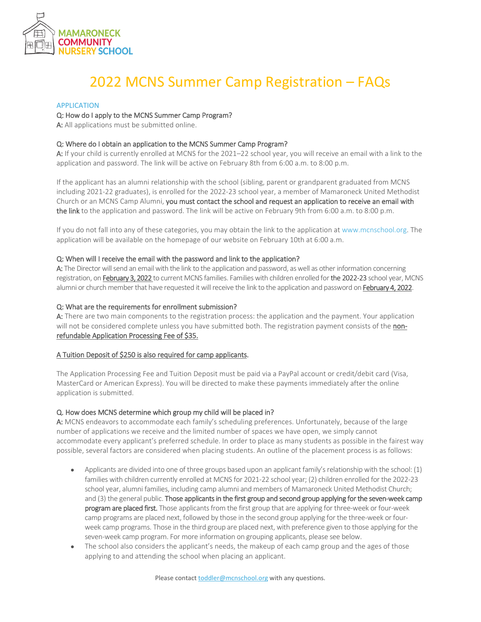

# 2022 MCNS Summer Camp Registration – FAQs

## APPLICATION

## Q: How do I apply to the MCNS Summer Camp Program?

A: All applications must be submitted online.

## Q: Where do I obtain an application to the MCNS Summer Camp Program?

A: If your child is currently enrolled at MCNS for the 2021–22 school year, you will receive an email with a link to the application and password. The link will be active on February 8th from 6:00 a.m. to 8:00 p.m.

If the applicant has an alumni relationship with the school (sibling, parent or grandparent graduated from MCNS including 2021-22 graduates), is enrolled for the 2022-23 school year, a member of Mamaroneck United Methodist Church or an MCNS Camp Alumni, you must contact the school and request an application to receive an email with the link to the application and password. The link will be active on February 9th from 6:00 a.m. to 8:00 p.m.

If you do not fall into any of these categories, you may obtain the link to the application at [www.mcnschool.org.](http://www.mcnschool.org/) The application will be available on the homepage of our website on February 10th at 6:00 a.m.

#### Q: When will I receive the email with the password and link to the application?

A: The Director will send an email with the link to the application and password, as well as other information concerning registration, on February 3, 2022 to current MCNS families. Families with children enrolled for the 2022-23 school year, MCNS alumni or church member that have requested it will receive the link to the application and password on February 4, 2022.

## Q: What are the requirements for enrollment submission?

A: There are two main components to the registration process: the application and the payment. Your application will not be considered complete unless you have submitted both. The registration payment consists of the nonrefundable Application Processing Fee of \$35.

#### A Tuition Deposit of \$250 is also required for camp applicants.

The Application Processing Fee and Tuition Deposit must be paid via a PayPal account or credit/debit card (Visa, MasterCard or American Express). You will be directed to make these payments immediately after the online application is submitted.

# Q. How does MCNS determine which group my child will be placed in?

A: MCNS endeavors to accommodate each family's scheduling preferences. Unfortunately, because of the large number of applications we receive and the limited number of spaces we have open, we simply cannot accommodate every applicant's preferred schedule. In order to place as many students as possible in the fairest way possible, several factors are considered when placing students. An outline of the placement process is as follows:

- Applicants are divided into one of three groups based upon an applicant family's relationship with the school: (1) families with children currently enrolled at MCNS for 2021-22 school year; (2) children enrolled for the 2022-23 school year, alumni families, including camp alumni and members of Mamaroneck United Methodist Church; and (3) the general public. Those applicants in the first group and second group applying for the seven-week camp program are placed first. Those applicants from the first group that are applying for three-week or four-week camp programs are placed next, followed by those in the second group applying for the three-week or fourweek camp programs. Those in the third group are placed next, with preference given to those applying for the seven-week camp program. For more information on grouping applicants, please see below.
- The school also considers the applicant's needs, the makeup of each camp group and the ages of those applying to and attending the school when placing an applicant.

Please contac[t toddler@mcnschool.org](mailto:toddler@mcnschool.org%20?subject=Camp%20Registration) with any questions.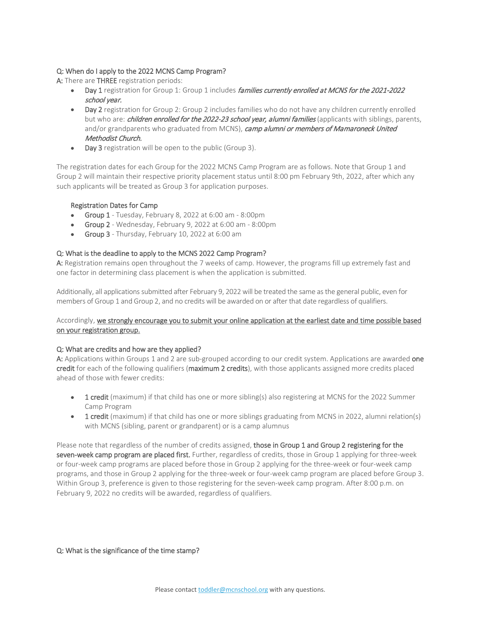# Q: When do I apply to the 2022 MCNS Camp Program?

A: There are **THREE** registration periods:

- Day 1 registration for Group 1: Group 1 includes families currently enrolled at MCNS for the 2021-2022 school year.
- Day 2 registration for Group 2: Group 2 includes families who do not have any children currently enrolled but who are: *children enrolled for the 2022-23 school year, alumni families* (applicants with siblings, parents, and/or grandparents who graduated from MCNS), camp alumni or members of Mamaroneck United Methodist Church.
- Day 3 registration will be open to the public (Group 3).

The registration dates for each Group for the 2022 MCNS Camp Program are as follows. Note that Group 1 and Group 2 will maintain their respective priority placement status until 8:00 pm February 9th, 2022, after which any such applicants will be treated as Group 3 for application purposes.

# Registration Dates for Camp

- Group 1 Tuesday, February 8, 2022 at 6:00 am 8:00pm
- Group 2 Wednesday, February 9, 2022 at 6:00 am 8:00pm
- Group 3 Thursday, February 10, 2022 at 6:00 am

# Q: What is the deadline to apply to the MCNS 2022 Camp Program?

A: Registration remains open throughout the 7 weeks of camp. However, the programs fill up extremely fast and one factor in determining class placement is when the application is submitted.

Additionally, all applications submitted after February 9, 2022 will be treated the same as the general public, even for members of Group 1 and Group 2, and no credits will be awarded on or after that date regardless of qualifiers.

# Accordingly, we strongly encourage you to submit your online application at the earliest date and time possible based on your registration group.

# Q: What are credits and how are they applied?

A: Applications within Groups 1 and 2 are sub-grouped according to our credit system. Applications are awarded one credit for each of the following qualifiers (maximum 2 credits), with those applicants assigned more credits placed ahead of those with fewer credits:

- 1 credit (maximum) if that child has one or more sibling(s) also registering at MCNS for the 2022 Summer Camp Program
- 1 credit (maximum) if that child has one or more siblings graduating from MCNS in 2022, alumni relation(s) with MCNS (sibling, parent or grandparent) or is a camp alumnus

Please note that regardless of the number of credits assigned, those in Group 1 and Group 2 registering for the seven-week camp program are placed first. Further, regardless of credits, those in Group 1 applying for three-week or four-week camp programs are placed before those in Group 2 applying for the three-week or four-week camp programs, and those in Group 2 applying for the three-week or four-week camp program are placed before Group 3. Within Group 3, preference is given to those registering for the seven-week camp program. After 8:00 p.m. on February 9, 2022 no credits will be awarded, regardless of qualifiers.

# Q: What is the significance of the time stamp?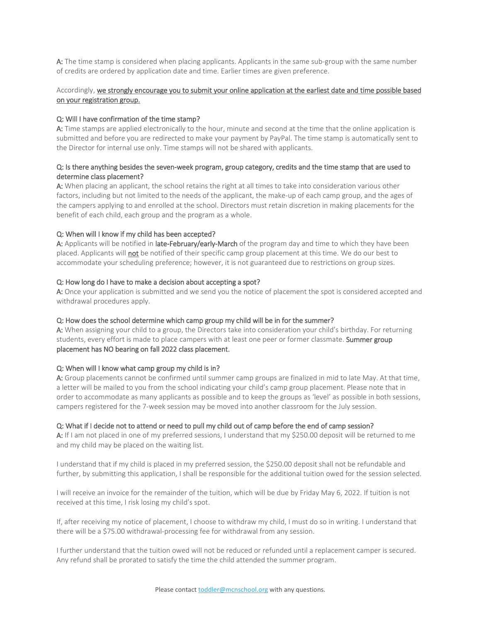A: The time stamp is considered when placing applicants. Applicants in the same sub-group with the same number of credits are ordered by application date and time. Earlier times are given preference.

# Accordingly, we strongly encourage you to submit your online application at the earliest date and time possible based on your registration group.

# Q: Will I have confirmation of the time stamp?

A: Time stamps are applied electronically to the hour, minute and second at the time that the online application is submitted and before you are redirected to make your payment by PayPal. The time stamp is automatically sent to the Director for internal use only. Time stamps will not be shared with applicants.

# Q: Is there anything besides the seven-week program, group category, credits and the time stamp that are used to determine class placement?

A: When placing an applicant, the school retains the right at all times to take into consideration various other factors, including but not limited to the needs of the applicant, the make-up of each camp group, and the ages of the campers applying to and enrolled at the school. Directors must retain discretion in making placements for the benefit of each child, each group and the program as a whole.

## Q: When will I know if my child has been accepted?

A: Applicants will be notified in late-February/early-March of the program day and time to which they have been placed. Applicants will not be notified of their specific camp group placement at this time. We do our best to accommodate your scheduling preference; however, it is not guaranteed due to restrictions on group sizes.

#### Q: How long do I have to make a decision about accepting a spot?

A: Once your application is submitted and we send you the notice of placement the spot is considered accepted and withdrawal procedures apply.

#### Q: How does the school determine which camp group my child will be in for the summer?

A: When assigning your child to a group, the Directors take into consideration your child's birthday. For returning students, every effort is made to place campers with at least one peer or former classmate. Summer group placement has NO bearing on fall 2022 class placement.

#### Q: When will I know what camp group my child is in?

A: Group placements cannot be confirmed until summer camp groups are finalized in mid to late May. At that time, a letter will be mailed to you from the school indicating your child's camp group placement. Please note that in order to accommodate as many applicants as possible and to keep the groups as 'level' as possible in both sessions, campers registered for the 7-week session may be moved into another classroom for the July session.

# Q: What if I decide not to attend or need to pull my child out of camp before the end of camp session?

A: If I am not placed in one of my preferred sessions, I understand that my \$250.00 deposit will be returned to me and my child may be placed on the waiting list.

I understand that if my child is placed in my preferred session, the \$250.00 deposit shall not be refundable and further, by submitting this application, I shall be responsible for the additional tuition owed for the session selected.

I will receive an invoice for the remainder of the tuition, which will be due by Friday May 6, 2022. If tuition is not received at this time, I risk losing my child's spot.

If, after receiving my notice of placement, I choose to withdraw my child, I must do so in writing. I understand that there will be a \$75.00 withdrawal-processing fee for withdrawal from any session.

I further understand that the tuition owed will not be reduced or refunded until a replacement camper is secured. Any refund shall be prorated to satisfy the time the child attended the summer program.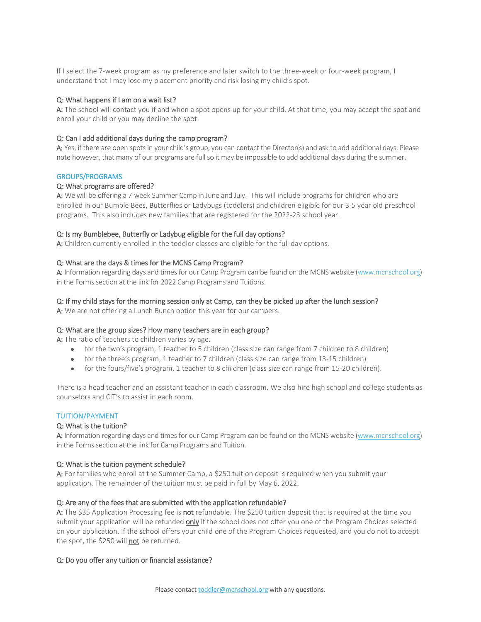If I select the 7-week program as my preference and later switch to the three-week or four-week program, I understand that I may lose my placement priority and risk losing my child's spot.

## Q: What happens if I am on a wait list?

A: The school will contact you if and when a spot opens up for your child. At that time, you may accept the spot and enroll your child or you may decline the spot.

## Q: Can I add additional days during the camp program?

A: Yes, if there are open spots in your child's group, you can contact the Director(s) and ask to add additional days. Please note however, that many of our programs are full so it may be impossible to add additional days during the summer.

#### GROUPS/PROGRAMS

#### Q: What programs are offered?

A: We will be offering a 7-week Summer Camp in June and July. This will include programs for children who are enrolled in our Bumble Bees, Butterflies or Ladybugs (toddlers) and children eligible for our 3-5 year old preschool programs. This also includes new families that are registered for the 2022-23 school year.

#### Q: Is my Bumblebee, Butterfly or Ladybug eligible for the full day options?

A: Children currently enrolled in the toddler classes are eligible for the full day options.

#### Q: What are the days & times for the MCNS Camp Program?

A: Information regarding days and times for our Camp Program can be found on the MCNS website [\(www.mcnschool.org\)](http://www.mcnschool.org/) in the Forms section at the link for 2022 Camp Programs and Tuitions.

#### Q: If my child stays for the morning session only at Camp, can they be picked up after the lunch session?

A: We are not offering a Lunch Bunch option this year for our campers.

#### Q: What are the group sizes? How many teachers are in each group?

A: The ratio of teachers to children varies by age.

- for the two's program, 1 teacher to 5 children (class size can range from 7 children to 8 children)
- for the three's program, 1 teacher to 7 children (class size can range from 13-15 children)
- for the fours/five's program, 1 teacher to 8 children (class size can range from 15-20 children).

There is a head teacher and an assistant teacher in each classroom. We also hire high school and college students as counselors and CIT's to assist in each room.

#### TUITION/PAYMENT

#### Q: What is the tuition?

A: Information regarding days and times for our Camp Program can be found on the MCNS website [\(www.mcnschool.org\)](http://www.mcnschool.org/) in the Forms section at the link for Camp Programs and Tuition.

#### Q: What is the tuition payment schedule?

A: For families who enroll at the Summer Camp, a \$250 tuition deposit is required when you submit your application. The remainder of the tuition must be paid in full by May 6, 2022.

#### Q: Are any of the fees that are submitted with the application refundable?

A: The \$35 Application Processing fee is not refundable. The \$250 tuition deposit that is required at the time you submit your application will be refunded only if the school does not offer you one of the Program Choices selected on your application. If the school offers your child one of the Program Choices requested, and you do not to accept the spot, the \$250 will **not** be returned.

#### Q: Do you offer any tuition or financial assistance?